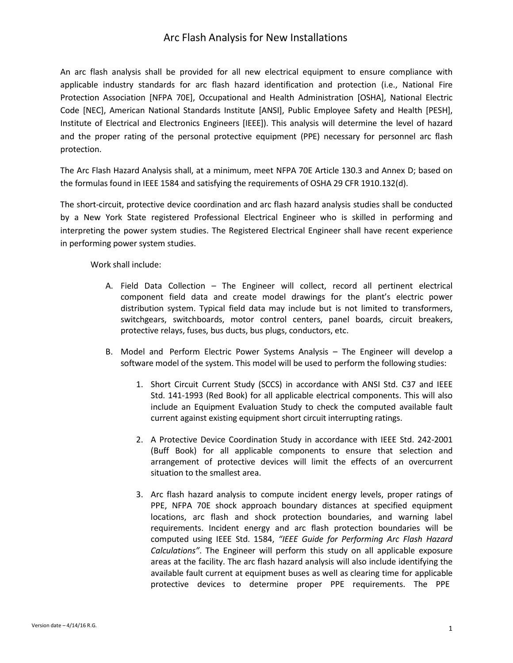## Arc Flash Analysis for New Installations

An arc flash analysis shall be provided for all new electrical equipment to ensure compliance with applicable industry standards for arc flash hazard identification and protection (i.e., National Fire Protection Association [NFPA 70E], Occupational and Health Administration [OSHA], National Electric Code [NEC], American National Standards Institute [ANSI], Public Employee Safety and Health [PESH], Institute of Electrical and Electronics Engineers [IEEE]). This analysis will determine the level of hazard and the proper rating of the personal protective equipment (PPE) necessary for personnel arc flash protection.

The Arc Flash Hazard Analysis shall, at a minimum, meet NFPA 70E Article 130.3 and Annex D; based on the formulas found in IEEE 1584 and satisfying the requirements of OSHA 29 CFR 1910.132(d).

The short-circuit, protective device coordination and arc flash hazard analysis studies shall be conducted by a New York State registered Professional Electrical Engineer who is skilled in performing and interpreting the power system studies. The Registered Electrical Engineer shall have recent experience in performing power system studies.

Work shall include:

- A. Field Data Collection The Engineer will collect, record all pertinent electrical component field data and create model drawings for the plant's electric power distribution system. Typical field data may include but is not limited to transformers, switchgears, switchboards, motor control centers, panel boards, circuit breakers, protective relays, fuses, bus ducts, bus plugs, conductors, etc.
- B. Model and Perform Electric Power Systems Analysis The Engineer will develop a software model of the system. This model will be used to perform the following studies:
	- 1. Short Circuit Current Study (SCCS) in accordance with ANSI Std. C37 and IEEE Std. 141-1993 (Red Book) for all applicable electrical components. This will also include an Equipment Evaluation Study to check the computed available fault current against existing equipment short circuit interrupting ratings.
	- 2. A Protective Device Coordination Study in accordance with IEEE Std. 242-2001 (Buff Book) for all applicable components to ensure that selection and arrangement of protective devices will limit the effects of an overcurrent situation to the smallest area.
	- 3. Arc flash hazard analysis to compute incident energy levels, proper ratings of PPE, NFPA 70E shock approach boundary distances at specified equipment locations, arc flash and shock protection boundaries, and warning label requirements. Incident energy and arc flash protection boundaries will be computed using IEEE Std. 1584, *"IEEE Guide for Performing Arc Flash Hazard Calculations"*. The Engineer will perform this study on all applicable exposure areas at the facility. The arc flash hazard analysis will also include identifying the available fault current at equipment buses as well as clearing time for applicable protective devices to determine proper PPE requirements. The PPE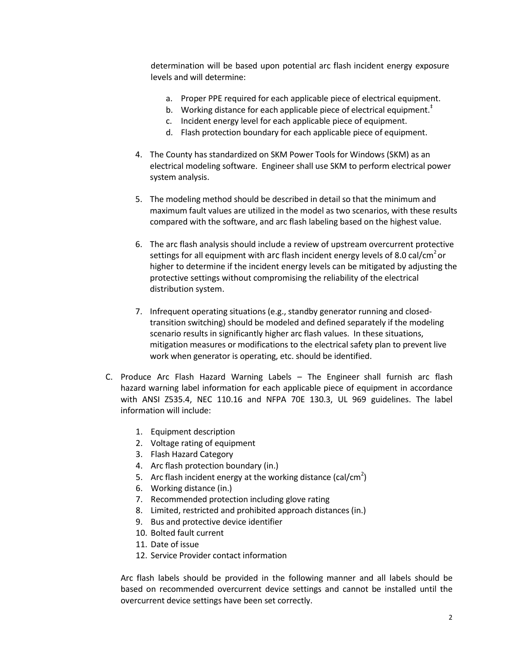determination will be based upon potential arc flash incident energy exposure levels and will determine:

- a. Proper PPE required for each applicable piece of electrical equipment.
- b. Working distance for each applicable piece of electrical equipment.<sup> $†$ </sup>
- c. Incident energy level for each applicable piece of equipment.
- d. Flash protection boundary for each applicable piece of equipment.
- 4. The County has standardized on SKM Power Tools for Windows (SKM) as an electrical modeling software. Engineer shall use SKM to perform electrical power system analysis.
- 5. The modeling method should be described in detail so that the minimum and maximum fault values are utilized in the model as two scenarios, with these results compared with the software, and arc flash labeling based on the highest value.
- 6. The arc flash analysis should include a review of upstream overcurrent protective settings for all equipment with arc flash incident energy levels of 8.0 cal/cm<sup>2</sup> or higher to determine if the incident energy levels can be mitigated by adjusting the protective settings without compromising the reliability of the electrical distribution system.
- 7. Infrequent operating situations (e.g., standby generator running and closedtransition switching) should be modeled and defined separately if the modeling scenario results in significantly higher arc flash values. In these situations, mitigation measures or modifications to the electrical safety plan to prevent live work when generator is operating, etc. should be identified.
- C. Produce Arc Flash Hazard Warning Labels The Engineer shall furnish arc flash hazard warning label information for each applicable piece of equipment in accordance with ANSI Z535.4, NEC 110.16 and NFPA 70E 130.3, UL 969 guidelines. The label information will include:
	- 1. Equipment description
	- 2. Voltage rating of equipment
	- 3. Flash Hazard Category
	- 4. Arc flash protection boundary (in.)
	- 5. Arc flash incident energy at the working distance (cal/cm<sup>2</sup>)
	- 6. Working distance (in.)
	- 7. Recommended protection including glove rating
	- 8. Limited, restricted and prohibited approach distances (in.)
	- 9. Bus and protective device identifier
	- 10. Bolted fault current
	- 11. Date of issue
	- 12. Service Provider contact information

Arc flash labels should be provided in the following manner and all labels should be based on recommended overcurrent device settings and cannot be installed until the overcurrent device settings have been set correctly.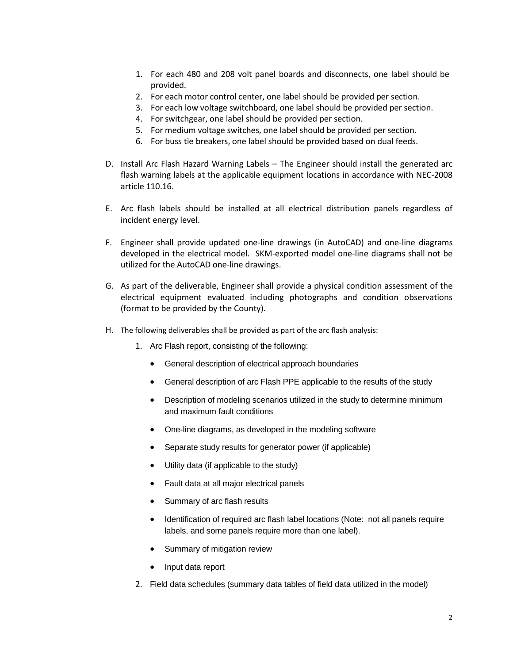- 1. For each 480 and 208 volt panel boards and disconnects, one label should be provided.
- 2. For each motor control center, one label should be provided per section.
- 3. For each low voltage switchboard, one label should be provided per section.
- 4. For switchgear, one label should be provided per section.
- 5. For medium voltage switches, one label should be provided per section.
- 6. For buss tie breakers, one label should be provided based on dual feeds.
- D. Install Arc Flash Hazard Warning Labels The Engineer should install the generated arc flash warning labels at the applicable equipment locations in accordance with NEC-2008 article 110.16.
- E. Arc flash labels should be installed at all electrical distribution panels regardless of incident energy level.
- F. Engineer shall provide updated one-line drawings (in AutoCAD) and one-line diagrams developed in the electrical model. SKM-exported model one-line diagrams shall not be utilized for the AutoCAD one-line drawings.
- G. As part of the deliverable, Engineer shall provide a physical condition assessment of the electrical equipment evaluated including photographs and condition observations (format to be provided by the County).
- H. The following deliverables shall be provided as part of the arc flash analysis:
	- 1. Arc Flash report, consisting of the following:
		- General description of electrical approach boundaries
		- General description of arc Flash PPE applicable to the results of the study
		- Description of modeling scenarios utilized in the study to determine minimum and maximum fault conditions
		- One-line diagrams, as developed in the modeling software
		- Separate study results for generator power (if applicable)
		- Utility data (if applicable to the study)
		- Fault data at all major electrical panels
		- Summary of arc flash results
		- Identification of required arc flash label locations (Note: not all panels require labels, and some panels require more than one label).
		- Summary of mitigation review
		- Input data report
	- 2. Field data schedules (summary data tables of field data utilized in the model)